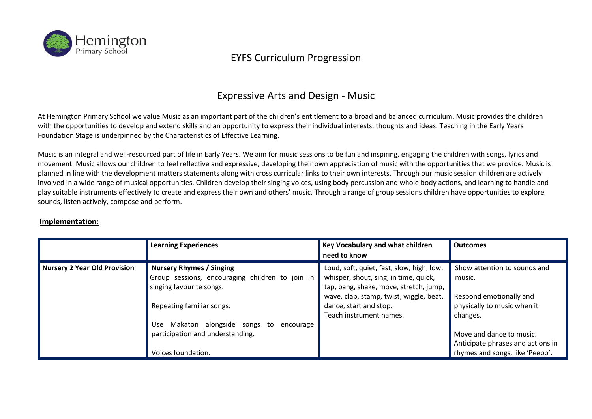

#### Expressive Arts and Design - Music

At Hemington Primary School we value Music as an important part of the children's entitlement to a broad and balanced curriculum. Music provides the children with the opportunities to develop and extend skills and an opportunity to express their individual interests, thoughts and ideas. Teaching in the Early Years Foundation Stage is underpinned by the Characteristics of Effective Learning.

Music is an integral and well-resourced part of life in Early Years. We aim for music sessions to be fun and inspiring, engaging the children with songs, lyrics and movement. Music allows our children to feel reflective and expressive, developing their own appreciation of music with the opportunities that we provide. Music is planned in line with the development matters statements along with cross curricular links to their own interests. Through our music session children are actively involved in a wide range of musical opportunities. Children develop their singing voices, using body percussion and whole body actions, and learning to handle and play suitable instruments effectively to create and express their own and others' music. Through a range of group sessions children have opportunities to explore sounds, listen actively, compose and perform.

#### **Implementation:**

|                              | <b>Learning Experiences</b>                                                                                    | <b>Key Vocabulary and what children</b><br>need to know                                                                                                                 | <b>Outcomes</b>                                                                                  |
|------------------------------|----------------------------------------------------------------------------------------------------------------|-------------------------------------------------------------------------------------------------------------------------------------------------------------------------|--------------------------------------------------------------------------------------------------|
| Nursery 2 Year Old Provision | <b>Nursery Rhymes / Singing</b><br>Group sessions, encouraging children to join in<br>singing favourite songs. | Loud, soft, quiet, fast, slow, high, low,<br>whisper, shout, sing, in time, quick,<br>tap, bang, shake, move, stretch, jump,<br>wave, clap, stamp, twist, wiggle, beat, | Show attention to sounds and<br>music.<br>Respond emotionally and                                |
|                              | Repeating familiar songs.<br>Makaton alongside songs to<br>Use.<br>encourage                                   | dance, start and stop.<br>Teach instrument names.                                                                                                                       | physically to music when it<br>changes.                                                          |
|                              | participation and understanding.<br>Voices foundation.                                                         |                                                                                                                                                                         | Move and dance to music.<br>Anticipate phrases and actions in<br>rhymes and songs, like 'Peepo'. |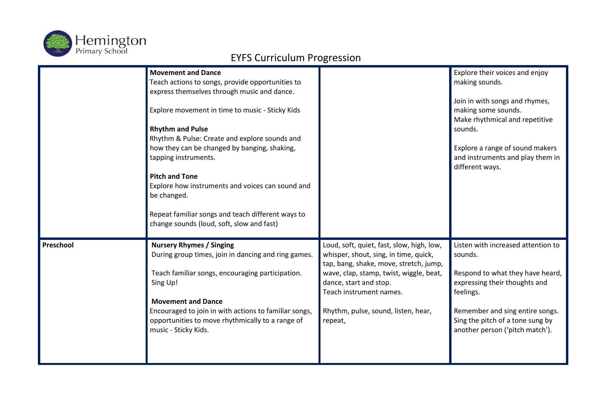

|           | <b>Movement and Dance</b><br>Teach actions to songs, provide opportunities to<br>express themselves through music and dance.<br>Explore movement in time to music - Sticky Kids<br><b>Rhythm and Pulse</b><br>Rhythm & Pulse: Create and explore sounds and<br>how they can be changed by banging, shaking,<br>tapping instruments.<br><b>Pitch and Tone</b><br>Explore how instruments and voices can sound and<br>be changed.<br>Repeat familiar songs and teach different ways to<br>change sounds (loud, soft, slow and fast) |                                           | Explore their voices and enjoy<br>making sounds.<br>Join in with songs and rhymes,<br>making some sounds.<br>Make rhythmical and repetitive<br>sounds.<br>Explore a range of sound makers<br>and instruments and play them in<br>different ways. |
|-----------|-----------------------------------------------------------------------------------------------------------------------------------------------------------------------------------------------------------------------------------------------------------------------------------------------------------------------------------------------------------------------------------------------------------------------------------------------------------------------------------------------------------------------------------|-------------------------------------------|--------------------------------------------------------------------------------------------------------------------------------------------------------------------------------------------------------------------------------------------------|
| Preschool | <b>Nursery Rhymes / Singing</b>                                                                                                                                                                                                                                                                                                                                                                                                                                                                                                   | Loud, soft, quiet, fast, slow, high, low, | Listen with increased attention to                                                                                                                                                                                                               |
|           | During group times, join in dancing and ring games.                                                                                                                                                                                                                                                                                                                                                                                                                                                                               | whisper, shout, sing, in time, quick,     | sounds.                                                                                                                                                                                                                                          |
|           | Teach familiar songs, encouraging participation.                                                                                                                                                                                                                                                                                                                                                                                                                                                                                  | tap, bang, shake, move, stretch, jump,    | Respond to what they have heard,                                                                                                                                                                                                                 |
|           | Sing Up!                                                                                                                                                                                                                                                                                                                                                                                                                                                                                                                          | wave, clap, stamp, twist, wiggle, beat,   | expressing their thoughts and                                                                                                                                                                                                                    |
|           | <b>Movement and Dance</b>                                                                                                                                                                                                                                                                                                                                                                                                                                                                                                         | dance, start and stop.                    | feelings.                                                                                                                                                                                                                                        |
|           | Encouraged to join in with actions to familiar songs,                                                                                                                                                                                                                                                                                                                                                                                                                                                                             | Teach instrument names.                   | Remember and sing entire songs.                                                                                                                                                                                                                  |
|           | opportunities to move rhythmically to a range of                                                                                                                                                                                                                                                                                                                                                                                                                                                                                  | Rhythm, pulse, sound, listen, hear,       | Sing the pitch of a tone sung by                                                                                                                                                                                                                 |
|           | music - Sticky Kids.                                                                                                                                                                                                                                                                                                                                                                                                                                                                                                              | repeat,                                   | another person ('pitch match').                                                                                                                                                                                                                  |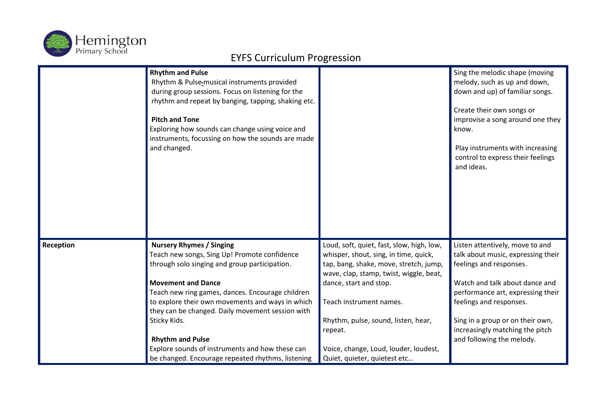

|           | <b>Rhythm and Pulse</b><br>Rhythm & Pulse-musical instruments provided<br>during group sessions. Focus on listening for the<br>rhythm and repeat by banging, tapping, shaking etc.<br><b>Pitch and Tone</b><br>Exploring how sounds can change using voice and<br>instruments, focussing on how the sounds are made<br>and changed.                                                                                                                                          |                                                                                                                                                                                                                                                                                                                                                         | Sing the melodic shape (moving<br>melody, such as up and down,<br>down and up) of familiar songs.<br>Create their own songs or<br>improvise a song around one they<br>know.<br>Play instruments with increasing<br>control to express their feelings<br>and ideas.                                     |
|-----------|------------------------------------------------------------------------------------------------------------------------------------------------------------------------------------------------------------------------------------------------------------------------------------------------------------------------------------------------------------------------------------------------------------------------------------------------------------------------------|---------------------------------------------------------------------------------------------------------------------------------------------------------------------------------------------------------------------------------------------------------------------------------------------------------------------------------------------------------|--------------------------------------------------------------------------------------------------------------------------------------------------------------------------------------------------------------------------------------------------------------------------------------------------------|
| Reception | <b>Nursery Rhymes / Singing</b><br>Teach new songs, Sing Up! Promote confidence<br>through solo singing and group participation.<br><b>Movement and Dance</b><br>Teach new ring games, dances. Encourage children<br>to explore their own movements and ways in which<br>they can be changed. Daily movement session with<br>Sticky Kids.<br><b>Rhythm and Pulse</b><br>Explore sounds of instruments and how these can<br>be changed. Encourage repeated rhythms, listening | Loud, soft, quiet, fast, slow, high, low,<br>whisper, shout, sing, in time, quick,<br>tap, bang, shake, move, stretch, jump,<br>wave, clap, stamp, twist, wiggle, beat,<br>dance, start and stop.<br>Teach instrument names.<br>Rhythm, pulse, sound, listen, hear,<br>repeat.<br>Voice, change, Loud, louder, loudest,<br>Quiet, quieter, quietest etc | Listen attentively, move to and<br>talk about music, expressing their<br>feelings and responses.<br>Watch and talk about dance and<br>performance art, expressing their<br>feelings and responses.<br>Sing in a group or on their own,<br>increasingly matching the pitch<br>and following the melody. |